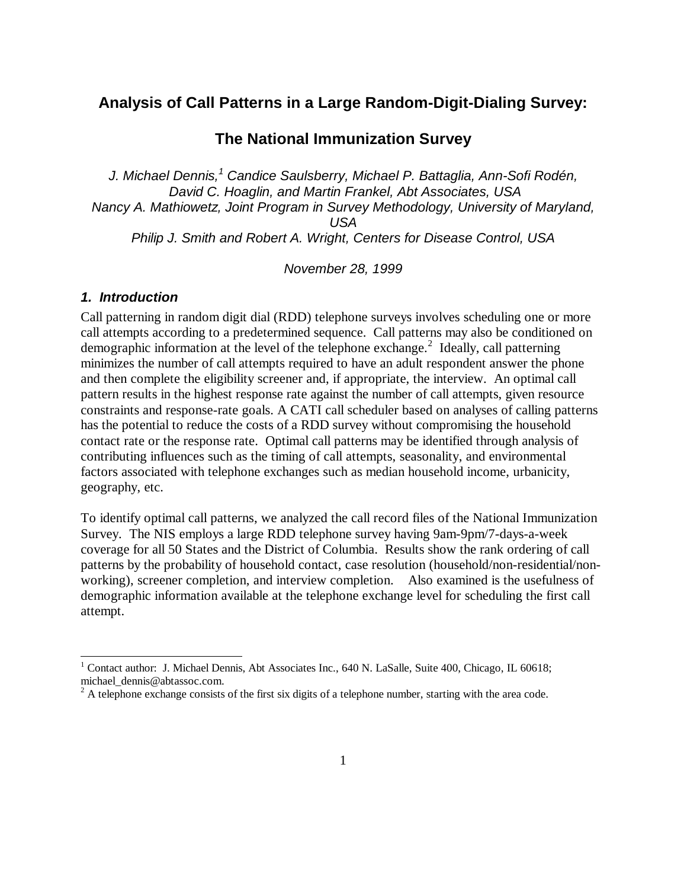# **Analysis of Call Patterns in a Large Random-Digit-Dialing Survey:**

# **The National Immunization Survey**

*J. Michael Dennis,1 Candice Saulsberry, Michael P. Battaglia, Ann-Sofi Rodén, David C. Hoaglin, and Martin Frankel, Abt Associates, USA Nancy A. Mathiowetz, Joint Program in Survey Methodology, University of Maryland, USA Philip J. Smith and Robert A. Wright, Centers for Disease Control, USA*

*November 28, 1999* 

#### *1. Introduction*

Call patterning in random digit dial (RDD) telephone surveys involves scheduling one or more call attempts according to a predetermined sequence. Call patterns may also be conditioned on demographic information at the level of the telephone exchange.<sup>2</sup> Ideally, call patterning minimizes the number of call attempts required to have an adult respondent answer the phone and then complete the eligibility screener and, if appropriate, the interview. An optimal call pattern results in the highest response rate against the number of call attempts, given resource constraints and response-rate goals. A CATI call scheduler based on analyses of calling patterns has the potential to reduce the costs of a RDD survey without compromising the household contact rate or the response rate. Optimal call patterns may be identified through analysis of contributing influences such as the timing of call attempts, seasonality, and environmental factors associated with telephone exchanges such as median household income, urbanicity, geography, etc.

To identify optimal call patterns, we analyzed the call record files of the National Immunization Survey. The NIS employs a large RDD telephone survey having 9am-9pm/7-days-a-week coverage for all 50 States and the District of Columbia. Results show the rank ordering of call patterns by the probability of household contact, case resolution (household/non-residential/nonworking), screener completion, and interview completion. Also examined is the usefulness of demographic information available at the telephone exchange level for scheduling the first call attempt.

<sup>&</sup>lt;sup>1</sup> Contact author: J. Michael Dennis, Abt Associates Inc., 640 N. LaSalle, Suite 400, Chicago, IL 60618; michael\_dennis@abtassoc.com.

 $2^2$  A telephone exchange consists of the first six digits of a telephone number, starting with the area code.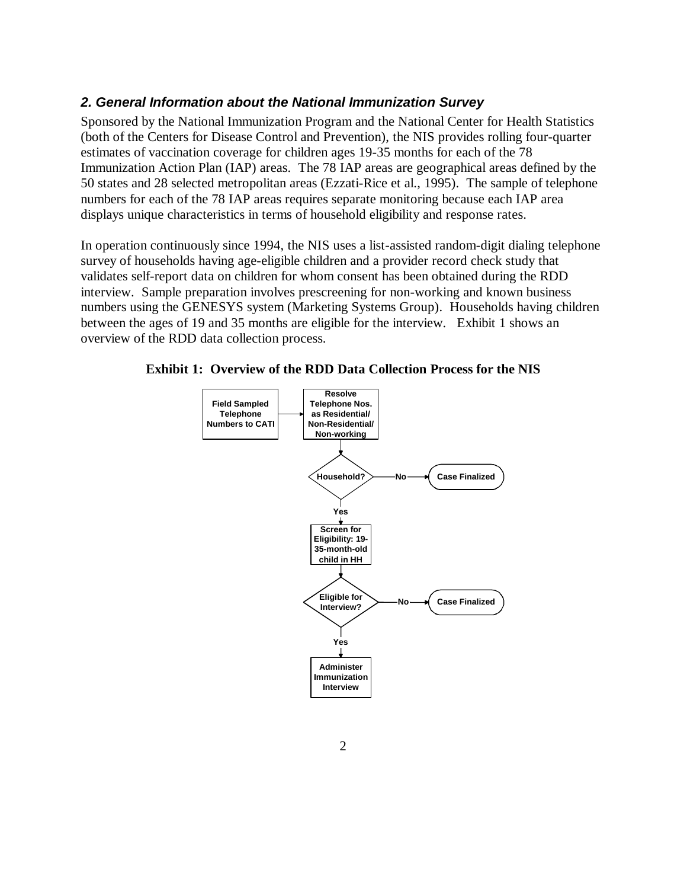#### *2. General Information about the National Immunization Survey*

Sponsored by the National Immunization Program and the National Center for Health Statistics (both of the Centers for Disease Control and Prevention), the NIS provides rolling four-quarter estimates of vaccination coverage for children ages 19-35 months for each of the 78 Immunization Action Plan (IAP) areas. The 78 IAP areas are geographical areas defined by the 50 states and 28 selected metropolitan areas (Ezzati-Rice et al., 1995). The sample of telephone numbers for each of the 78 IAP areas requires separate monitoring because each IAP area displays unique characteristics in terms of household eligibility and response rates.

In operation continuously since 1994, the NIS uses a list-assisted random-digit dialing telephone survey of households having age-eligible children and a provider record check study that validates self-report data on children for whom consent has been obtained during the RDD interview. Sample preparation involves prescreening for non-working and known business numbers using the GENESYS system (Marketing Systems Group). Households having children between the ages of 19 and 35 months are eligible for the interview. Exhibit 1 shows an overview of the RDD data collection process.



**Exhibit 1: Overview of the RDD Data Collection Process for the NIS**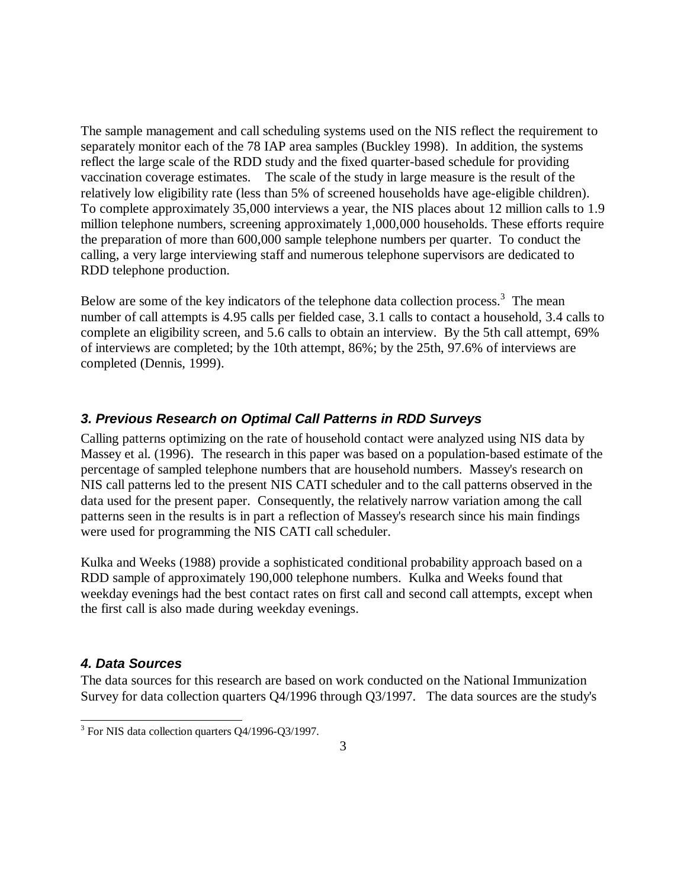The sample management and call scheduling systems used on the NIS reflect the requirement to separately monitor each of the 78 IAP area samples (Buckley 1998). In addition, the systems reflect the large scale of the RDD study and the fixed quarter-based schedule for providing vaccination coverage estimates. The scale of the study in large measure is the result of the relatively low eligibility rate (less than 5% of screened households have age-eligible children). To complete approximately 35,000 interviews a year, the NIS places about 12 million calls to 1.9 million telephone numbers, screening approximately 1,000,000 households. These efforts require the preparation of more than 600,000 sample telephone numbers per quarter. To conduct the calling, a very large interviewing staff and numerous telephone supervisors are dedicated to RDD telephone production.

Below are some of the key indicators of the telephone data collection process.<sup>3</sup> The mean number of call attempts is 4.95 calls per fielded case, 3.1 calls to contact a household, 3.4 calls to complete an eligibility screen, and 5.6 calls to obtain an interview. By the 5th call attempt, 69% of interviews are completed; by the 10th attempt, 86%; by the 25th, 97.6% of interviews are completed (Dennis, 1999).

## *3. Previous Research on Optimal Call Patterns in RDD Surveys*

Calling patterns optimizing on the rate of household contact were analyzed using NIS data by Massey et al. (1996). The research in this paper was based on a population-based estimate of the percentage of sampled telephone numbers that are household numbers. Massey's research on NIS call patterns led to the present NIS CATI scheduler and to the call patterns observed in the data used for the present paper. Consequently, the relatively narrow variation among the call patterns seen in the results is in part a reflection of Massey's research since his main findings were used for programming the NIS CATI call scheduler.

Kulka and Weeks (1988) provide a sophisticated conditional probability approach based on a RDD sample of approximately 190,000 telephone numbers. Kulka and Weeks found that weekday evenings had the best contact rates on first call and second call attempts, except when the first call is also made during weekday evenings.

#### *4. Data Sources*

The data sources for this research are based on work conducted on the National Immunization Survey for data collection quarters Q4/1996 through Q3/1997. The data sources are the study's

 $3$  For NIS data collection quarters Q4/1996-Q3/1997.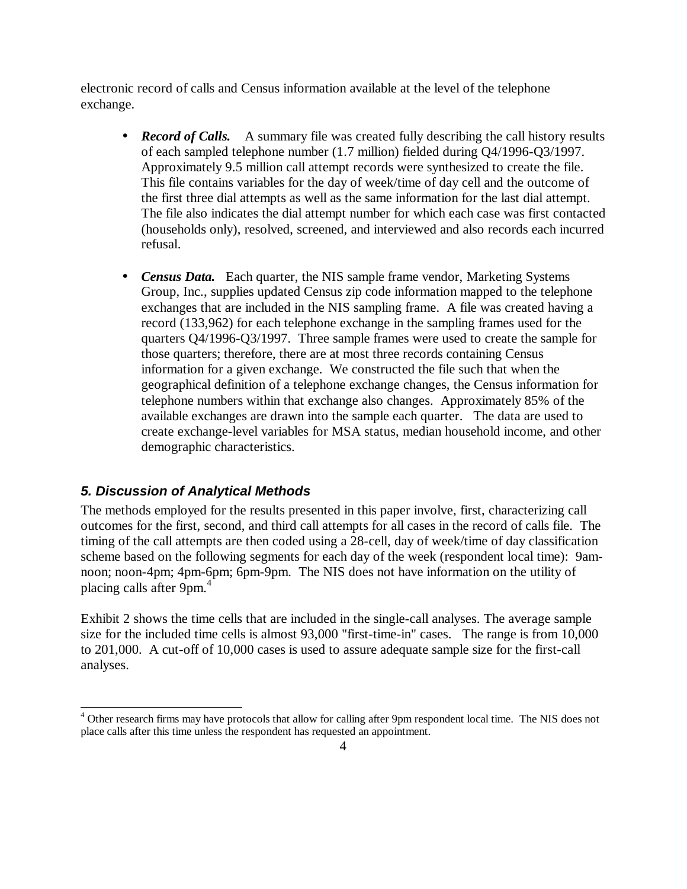electronic record of calls and Census information available at the level of the telephone exchange.

- *Record of Calls.* A summary file was created fully describing the call history results of each sampled telephone number (1.7 million) fielded during Q4/1996-Q3/1997. Approximately 9.5 million call attempt records were synthesized to create the file. This file contains variables for the day of week/time of day cell and the outcome of the first three dial attempts as well as the same information for the last dial attempt. The file also indicates the dial attempt number for which each case was first contacted (households only), resolved, screened, and interviewed and also records each incurred refusal.
- *Census Data.* Each quarter, the NIS sample frame vendor, Marketing Systems Group, Inc., supplies updated Census zip code information mapped to the telephone exchanges that are included in the NIS sampling frame. A file was created having a record (133,962) for each telephone exchange in the sampling frames used for the quarters Q4/1996-Q3/1997. Three sample frames were used to create the sample for those quarters; therefore, there are at most three records containing Census information for a given exchange. We constructed the file such that when the geographical definition of a telephone exchange changes, the Census information for telephone numbers within that exchange also changes. Approximately 85% of the available exchanges are drawn into the sample each quarter. The data are used to create exchange-level variables for MSA status, median household income, and other demographic characteristics.

# *5. Discussion of Analytical Methods*

The methods employed for the results presented in this paper involve, first, characterizing call outcomes for the first, second, and third call attempts for all cases in the record of calls file. The timing of the call attempts are then coded using a 28-cell, day of week/time of day classification scheme based on the following segments for each day of the week (respondent local time): 9amnoon; noon-4pm; 4pm-6pm; 6pm-9pm. The NIS does not have information on the utility of placing calls after 9pm.<sup>4</sup>

Exhibit 2 shows the time cells that are included in the single-call analyses. The average sample size for the included time cells is almost 93,000 "first-time-in" cases. The range is from 10,000 to 201,000. A cut-off of 10,000 cases is used to assure adequate sample size for the first-call analyses.

<sup>&</sup>lt;sup>4</sup> Other research firms may have protocols that allow for calling after 9pm respondent local time. The NIS does not place calls after this time unless the respondent has requested an appointment.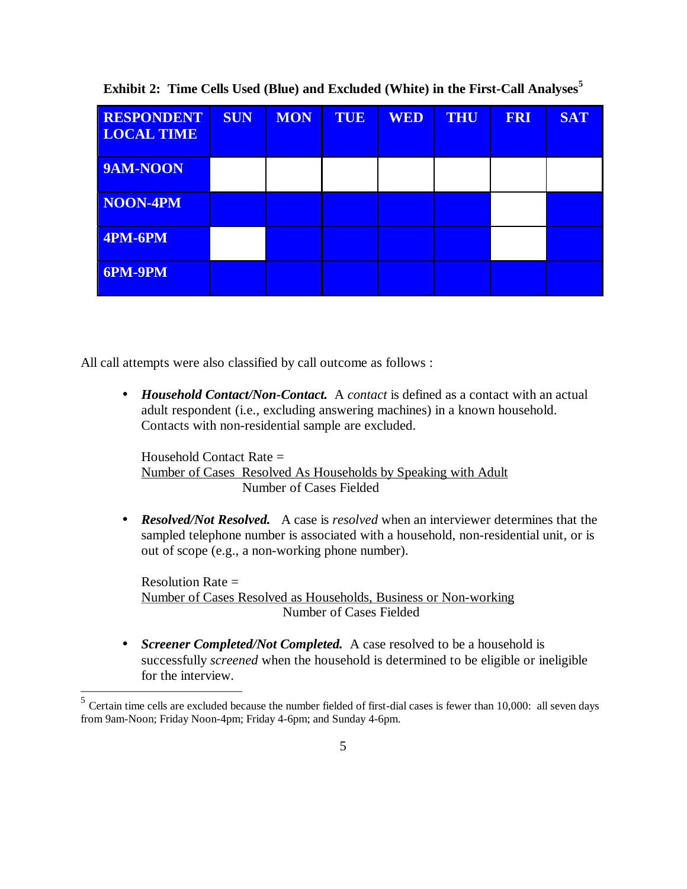| <b>RESPONDENT</b><br><b>LOCAL TIME</b> | <b>SUN</b> | <b>MON</b> | TUE | <b>WED</b> | <b>THU</b> | <b>FRI</b> | <b>SAT</b> |
|----------------------------------------|------------|------------|-----|------------|------------|------------|------------|
| 9AM-NOON                               |            |            |     |            |            |            |            |
| NOON-4PM                               |            |            |     |            |            |            |            |
| $\sqrt{4PM-6PM}$                       |            |            |     |            |            |            |            |
| <b>6PM-9PM</b>                         |            |            |     |            |            |            |            |

**Exhibit 2: Time Cells Used (Blue) and Excluded (White) in the First-Call Analyses<sup>5</sup>**

All call attempts were also classified by call outcome as follows :

• *Household Contact/Non-Contact.* A *contact* is defined as a contact with an actual adult respondent (i.e., excluding answering machines) in a known household. Contacts with non-residential sample are excluded.

Household Contact Rate = Number of Cases Resolved As Households by Speaking with Adult Number of Cases Fielded

• *Resolved/Not Resolved.* A case is *resolved* when an interviewer determines that the sampled telephone number is associated with a household, non-residential unit, or is out of scope (e.g., a non-working phone number).

Resolution Rate  $=$ Number of Cases Resolved as Households, Business or Non-working Number of Cases Fielded

• *Screener Completed/Not Completed.* A case resolved to be a household is successfully *screened* when the household is determined to be eligible or ineligible for the interview.

 $5$  Certain time cells are excluded because the number fielded of first-dial cases is fewer than 10,000: all seven days from 9am-Noon; Friday Noon-4pm; Friday 4-6pm; and Sunday 4-6pm.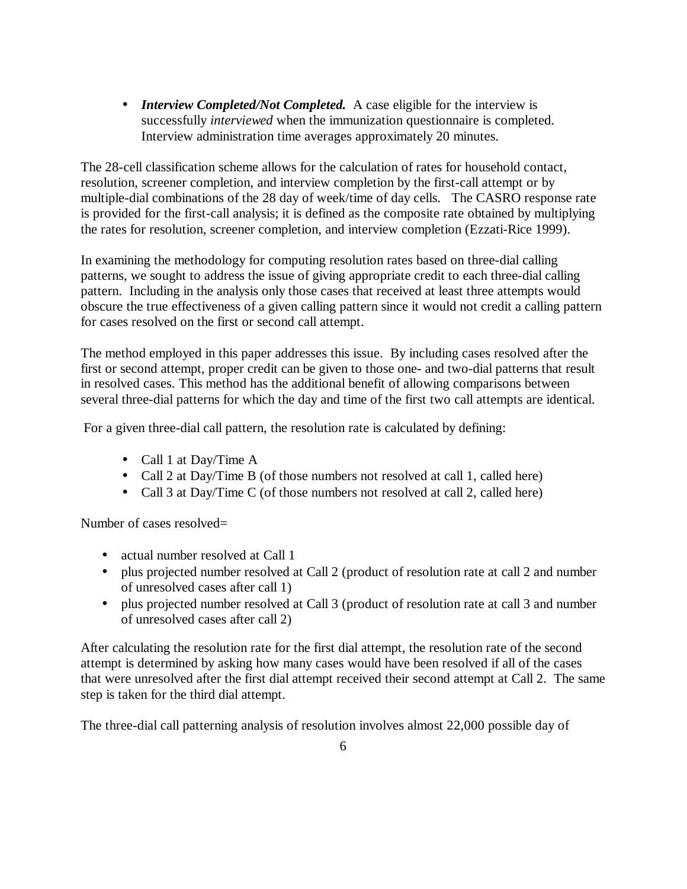• *Interview Completed/Not Completed.* A case eligible for the interview is successfully *interviewed* when the immunization questionnaire is completed. Interview administration time averages approximately 20 minutes.

The 28-cell classification scheme allows for the calculation of rates for household contact, resolution, screener completion, and interview completion by the first-call attempt or by multiple-dial combinations of the 28 day of week/time of day cells. The CASRO response rate is provided for the first-call analysis; it is defined as the composite rate obtained by multiplying the rates for resolution, screener completion, and interview completion (Ezzati-Rice 1999).

In examining the methodology for computing resolution rates based on three-dial calling patterns, we sought to address the issue of giving appropriate credit to each three-dial calling pattern. Including in the analysis only those cases that received at least three attempts would obscure the true effectiveness of a given calling pattern since it would not credit a calling pattern for cases resolved on the first or second call attempt.

The method employed in this paper addresses this issue. By including cases resolved after the first or second attempt, proper credit can be given to those one- and two-dial patterns that result in resolved cases. This method has the additional benefit of allowing comparisons between several three-dial patterns for which the day and time of the first two call attempts are identical.

For a given three-dial call pattern, the resolution rate is calculated by defining:

- Call 1 at Day/Time A
- Call 2 at Day/Time B (of those numbers not resolved at call 1, called here)
- Call 3 at Day/Time C (of those numbers not resolved at call 2, called here)

Number of cases resolved=

- actual number resolved at Call 1
- plus projected number resolved at Call 2 (product of resolution rate at call 2 and number of unresolved cases after call 1)
- plus projected number resolved at Call 3 (product of resolution rate at call 3 and number of unresolved cases after call 2)

After calculating the resolution rate for the first dial attempt, the resolution rate of the second attempt is determined by asking how many cases would have been resolved if all of the cases that were unresolved after the first dial attempt received their second attempt at Call 2. The same step is taken for the third dial attempt.

The three-dial call patterning analysis of resolution involves almost 22,000 possible day of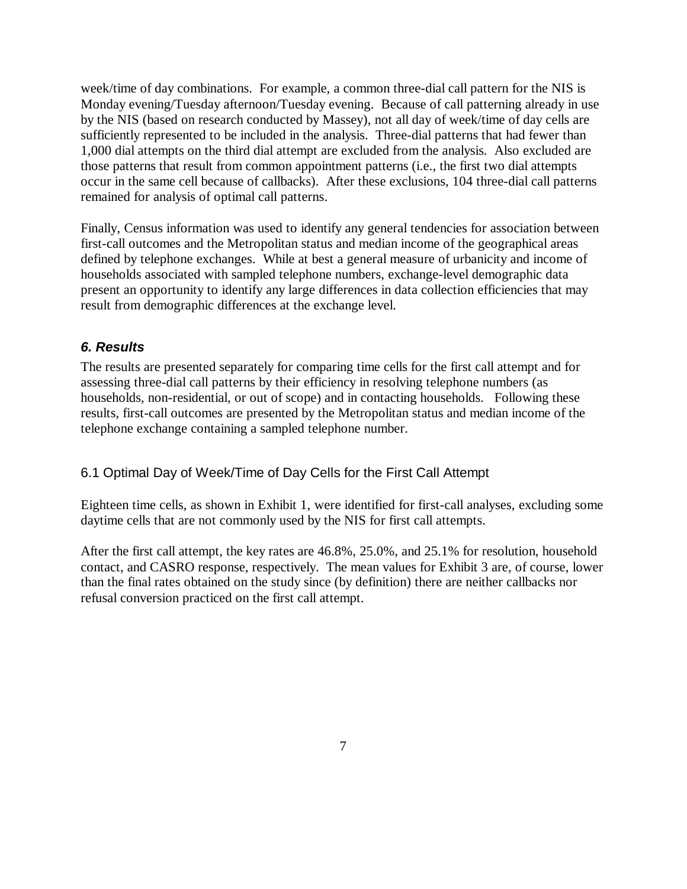week/time of day combinations. For example, a common three-dial call pattern for the NIS is Monday evening/Tuesday afternoon/Tuesday evening. Because of call patterning already in use by the NIS (based on research conducted by Massey), not all day of week/time of day cells are sufficiently represented to be included in the analysis. Three-dial patterns that had fewer than 1,000 dial attempts on the third dial attempt are excluded from the analysis. Also excluded are those patterns that result from common appointment patterns (i.e., the first two dial attempts occur in the same cell because of callbacks). After these exclusions, 104 three-dial call patterns remained for analysis of optimal call patterns.

Finally, Census information was used to identify any general tendencies for association between first-call outcomes and the Metropolitan status and median income of the geographical areas defined by telephone exchanges. While at best a general measure of urbanicity and income of households associated with sampled telephone numbers, exchange-level demographic data present an opportunity to identify any large differences in data collection efficiencies that may result from demographic differences at the exchange level.

## *6. Results*

The results are presented separately for comparing time cells for the first call attempt and for assessing three-dial call patterns by their efficiency in resolving telephone numbers (as households, non-residential, or out of scope) and in contacting households. Following these results, first-call outcomes are presented by the Metropolitan status and median income of the telephone exchange containing a sampled telephone number.

#### 6.1 Optimal Day of Week/Time of Day Cells for the First Call Attempt

Eighteen time cells, as shown in Exhibit 1, were identified for first-call analyses, excluding some daytime cells that are not commonly used by the NIS for first call attempts.

After the first call attempt, the key rates are 46.8%, 25.0%, and 25.1% for resolution, household contact, and CASRO response, respectively. The mean values for Exhibit 3 are, of course, lower than the final rates obtained on the study since (by definition) there are neither callbacks nor refusal conversion practiced on the first call attempt.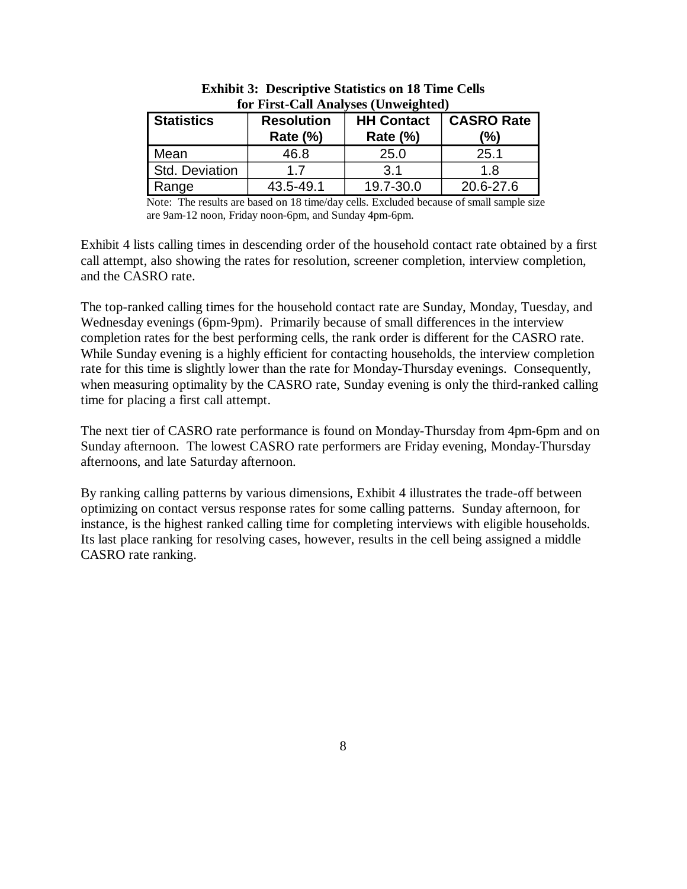| <b>Statistics</b> | <b>Resolution</b><br>Rate $(\%)$ | for First-Call Analyses (Unweighted)<br><b>HH Contact</b><br><b>Rate (%)</b> | <b>CASRO Rate</b><br>(%) |
|-------------------|----------------------------------|------------------------------------------------------------------------------|--------------------------|
| Mean              | 46.8                             | 25.0                                                                         | 25.1                     |
| Std. Deviation    | 17                               | .3 1                                                                         | 1.8                      |
| Range             | 43.5-49.1                        | 19.7-30.0                                                                    | 20.6-27.6                |

**Exhibit 3: Descriptive Statistics on 18 Time Cells for First-Call Analyses (Unweighted)** 

Note: The results are based on 18 time/day cells. Excluded because of small sample size are 9am-12 noon, Friday noon-6pm, and Sunday 4pm-6pm.

Exhibit 4 lists calling times in descending order of the household contact rate obtained by a first call attempt, also showing the rates for resolution, screener completion, interview completion, and the CASRO rate.

The top-ranked calling times for the household contact rate are Sunday, Monday, Tuesday, and Wednesday evenings (6pm-9pm). Primarily because of small differences in the interview completion rates for the best performing cells, the rank order is different for the CASRO rate. While Sunday evening is a highly efficient for contacting households, the interview completion rate for this time is slightly lower than the rate for Monday-Thursday evenings. Consequently, when measuring optimality by the CASRO rate, Sunday evening is only the third-ranked calling time for placing a first call attempt.

The next tier of CASRO rate performance is found on Monday-Thursday from 4pm-6pm and on Sunday afternoon. The lowest CASRO rate performers are Friday evening, Monday-Thursday afternoons, and late Saturday afternoon.

By ranking calling patterns by various dimensions, Exhibit 4 illustrates the trade-off between optimizing on contact versus response rates for some calling patterns. Sunday afternoon, for instance, is the highest ranked calling time for completing interviews with eligible households. Its last place ranking for resolving cases, however, results in the cell being assigned a middle CASRO rate ranking.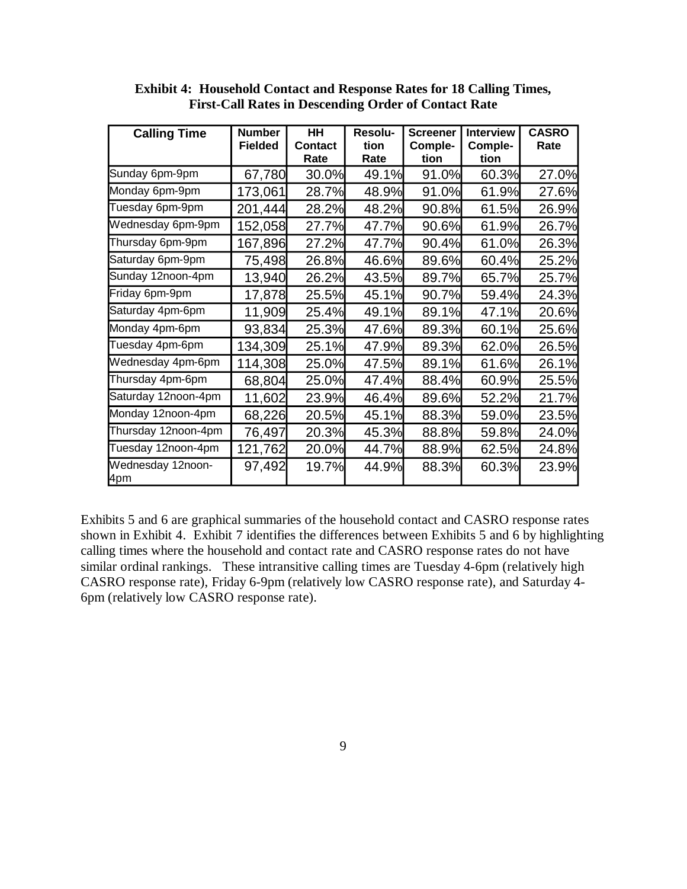| <b>Calling Time</b>      | <b>Number</b><br><b>Fielded</b> | <b>HH</b><br><b>Contact</b><br>Rate | Resolu-<br>tion<br>Rate | <b>Screener</b><br>Comple-<br>tion | <b>Interview</b><br>Comple-<br>tion | <b>CASRO</b><br>Rate |
|--------------------------|---------------------------------|-------------------------------------|-------------------------|------------------------------------|-------------------------------------|----------------------|
| Sunday 6pm-9pm           | 67,780                          | 30.0%                               | 49.1%                   | 91.0%                              | 60.3%                               | 27.0%                |
| Monday 6pm-9pm           | 173,061                         | 28.7%                               | 48.9%                   | 91.0%                              | 61.9%                               | 27.6%                |
| Tuesday 6pm-9pm          | 201,444                         | 28.2%                               | 48.2%                   | 90.8%                              | 61.5%                               | 26.9%                |
| Wednesday 6pm-9pm        | 152,058                         | 27.7%                               | 47.7%                   | 90.6%                              | 61.9%                               | 26.7%                |
| Thursday 6pm-9pm         | 167,896                         | 27.2%                               | 47.7%                   | 90.4%                              | 61.0%                               | 26.3%                |
| Saturday 6pm-9pm         | 75,498                          | 26.8%                               | 46.6%                   | 89.6%                              | 60.4%                               | 25.2%                |
| Sunday 12noon-4pm        | 13,940                          | 26.2%                               | 43.5%                   | 89.7%                              | 65.7%                               | 25.7%                |
| Friday 6pm-9pm           | 17,878                          | 25.5%                               | 45.1%                   | 90.7%                              | 59.4%                               | 24.3%                |
| Saturday 4pm-6pm         | 11,909                          | 25.4%                               | 49.1%                   | 89.1%                              | 47.1%                               | 20.6%                |
| Monday 4pm-6pm           | 93,834                          | 25.3%                               | 47.6%                   | 89.3%                              | 60.1%                               | 25.6%                |
| Tuesday 4pm-6pm          | 134,309                         | 25.1%                               | 47.9%                   | 89.3%                              | 62.0%                               | 26.5%                |
| Wednesday 4pm-6pm        | 114,308                         | 25.0%                               | 47.5%                   | 89.1%                              | 61.6%                               | 26.1%                |
| Thursday 4pm-6pm         | 68,804                          | 25.0%                               | 47.4%                   | 88.4%                              | 60.9%                               | 25.5%                |
| Saturday 12noon-4pm      | 11,602                          | 23.9%                               | 46.4%                   | 89.6%                              | 52.2%                               | 21.7%                |
| Monday 12noon-4pm        | 68,226                          | 20.5%                               | 45.1%                   | 88.3%                              | 59.0%                               | 23.5%                |
| Thursday 12noon-4pm      | 76,497                          | 20.3%                               | 45.3%                   | 88.8%                              | 59.8%                               | 24.0%                |
| Tuesday 12noon-4pm       | 121,762                         | 20.0%                               | 44.7%                   | 88.9%                              | 62.5%                               | 24.8%                |
| Wednesday 12noon-<br>4pm | 97,492                          | 19.7%                               | 44.9%                   | 88.3%                              | 60.3%                               | 23.9%                |

**Exhibit 4: Household Contact and Response Rates for 18 Calling Times, First-Call Rates in Descending Order of Contact Rate** 

Exhibits 5 and 6 are graphical summaries of the household contact and CASRO response rates shown in Exhibit 4. Exhibit 7 identifies the differences between Exhibits 5 and 6 by highlighting calling times where the household and contact rate and CASRO response rates do not have similar ordinal rankings. These intransitive calling times are Tuesday 4-6pm (relatively high CASRO response rate), Friday 6-9pm (relatively low CASRO response rate), and Saturday 4 6pm (relatively low CASRO response rate).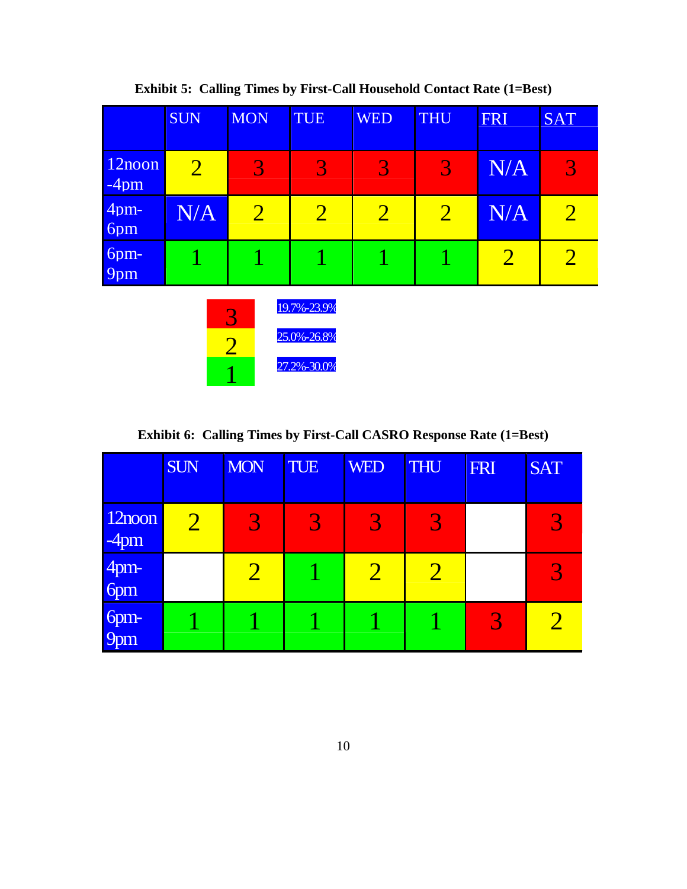|                   | <b>SUN</b>     | <b>MON</b>               | <b>TUE</b>                                | <b>WED</b>     | <b>THU</b>     | FRI            | <b>SAT</b>     |
|-------------------|----------------|--------------------------|-------------------------------------------|----------------|----------------|----------------|----------------|
| 12noon<br>$-4$ pm | $\overline{2}$ | 3                        | $\overline{3}$                            | 3              | 3              | N/A            | 3              |
| $4$ pm-<br>6pm    | N/A            | $\overline{2}$           | $\overline{2}$                            | $\overline{2}$ | $\overline{2}$ | N/A            | $\overline{2}$ |
| 6pm-<br>9pm       |                |                          |                                           |                |                | $\overline{2}$ | $\overline{2}$ |
|                   |                | 3<br>$\overline{2}$<br>1 | 19.7%-23.9%<br>25.0%-26.8%<br>27.2%-30.0% |                |                |                |                |

**Exhibit 5: Calling Times by First-Call Household Contact Rate (1=Best)** 

**Exhibit 6: Calling Times by First-Call CASRO Response Rate (1=Best)** 

|                   | <b>SUN</b>            | <b>MON</b>     | <b>TUE</b> | <b>WED</b>      | <b>THU</b> | <b>FRI</b> | <b>SAT</b> |
|-------------------|-----------------------|----------------|------------|-----------------|------------|------------|------------|
| 12noon<br>$-4$ pm | $\mathcal{D}_{\cdot}$ | 3              | 3          | 3               | 3          |            | 3          |
| 4pm-<br>6pm       |                       | $\overline{2}$ |            | $\mathcal{D}_1$ |            |            | 3          |
| 6pm-<br>9pm       |                       |                |            |                 |            | 3          |            |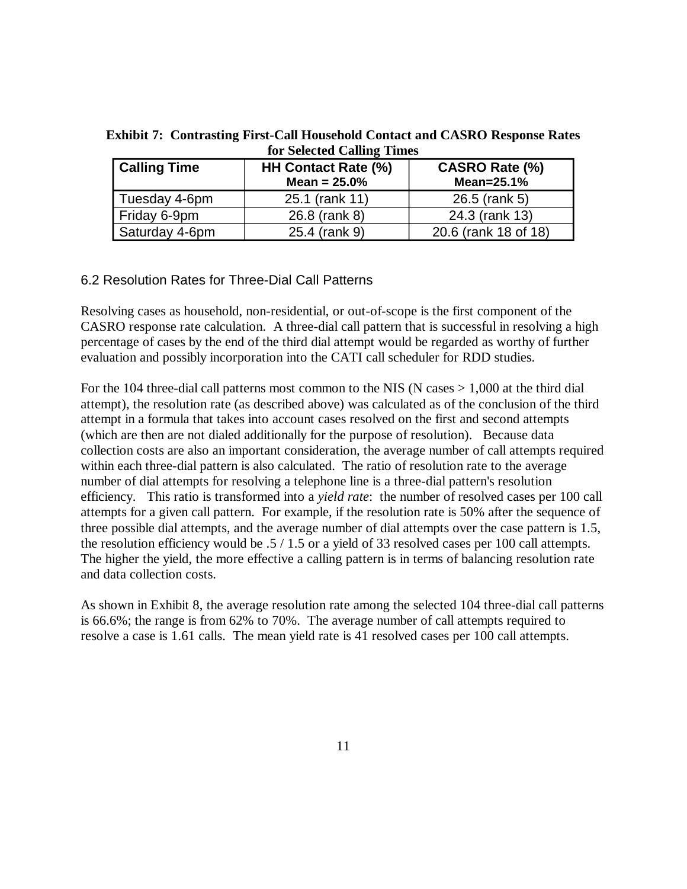| Calling Time   | HH Contact Rate (%)<br>Mean = $25.0%$ | CASRO Rate (%)<br>Mean= $25.1%$ |  |
|----------------|---------------------------------------|---------------------------------|--|
| Tuesday 4-6pm  | 25.1 (rank 11)                        | 26.5 (rank 5)                   |  |
| Friday 6-9pm   | 26.8 (rank 8)                         | 24.3 (rank 13)                  |  |
| Saturday 4-6pm | 25.4 (rank 9)                         | 20.6 (rank 18 of 18)            |  |

**Exhibit 7: Contrasting First-Call Household Contact and CASRO Response Rates for Selected Calling Times** 

#### 6.2 Resolution Rates for Three-Dial Call Patterns

Resolving cases as household, non-residential, or out-of-scope is the first component of the CASRO response rate calculation. A three-dial call pattern that is successful in resolving a high percentage of cases by the end of the third dial attempt would be regarded as worthy of further evaluation and possibly incorporation into the CATI call scheduler for RDD studies.

For the 104 three-dial call patterns most common to the NIS (N cases  $> 1,000$  at the third dial attempt), the resolution rate (as described above) was calculated as of the conclusion of the third attempt in a formula that takes into account cases resolved on the first and second attempts (which are then are not dialed additionally for the purpose of resolution). Because data collection costs are also an important consideration, the average number of call attempts required within each three-dial pattern is also calculated. The ratio of resolution rate to the average number of dial attempts for resolving a telephone line is a three-dial pattern's resolution efficiency. This ratio is transformed into a *yield rate*: the number of resolved cases per 100 call attempts for a given call pattern. For example, if the resolution rate is 50% after the sequence of three possible dial attempts, and the average number of dial attempts over the case pattern is 1.5, the resolution efficiency would be .5 / 1.5 or a yield of 33 resolved cases per 100 call attempts. The higher the yield, the more effective a calling pattern is in terms of balancing resolution rate and data collection costs.

As shown in Exhibit 8, the average resolution rate among the selected 104 three-dial call patterns is 66.6%; the range is from 62% to 70%. The average number of call attempts required to resolve a case is 1.61 calls. The mean yield rate is 41 resolved cases per 100 call attempts.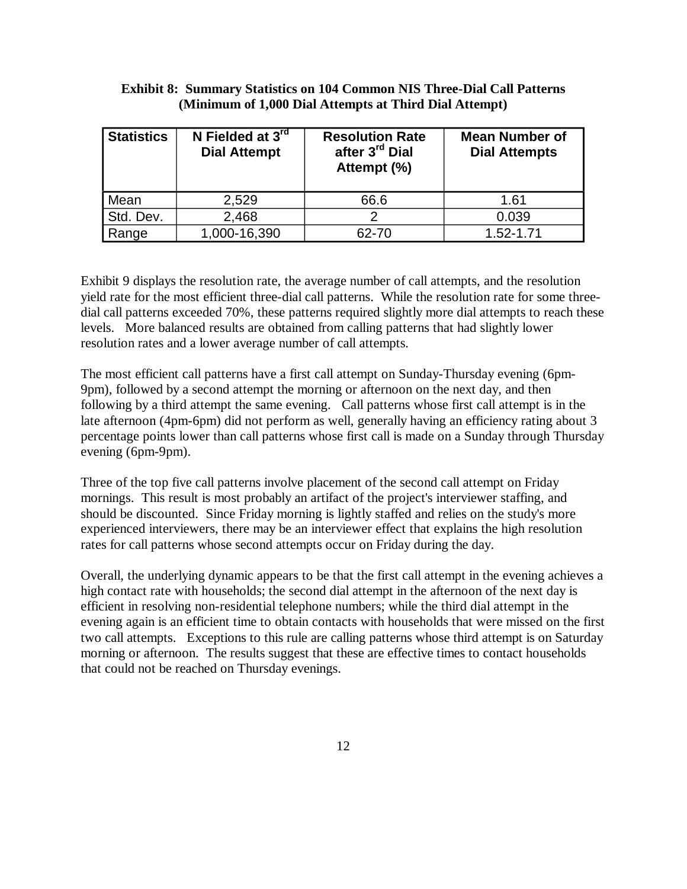#### **Exhibit 8: Summary Statistics on 104 Common NIS Three-Dial Call Patterns (Minimum of 1,000 Dial Attempts at Third Dial Attempt)**

| <b>Statistics</b> | N Fielded at 3rd<br><b>Dial Attempt</b> | <b>Resolution Rate</b><br>after 3 <sup>rd</sup> Dial<br>Attempt (%) | <b>Mean Number of</b><br><b>Dial Attempts</b> |
|-------------------|-----------------------------------------|---------------------------------------------------------------------|-----------------------------------------------|
| Mean              | 2,529                                   | 66.6                                                                | 1.61                                          |
| Std. Dev.         | 2,468                                   |                                                                     | 0.039                                         |
| Range             | 1,000-16,390                            | 62-70                                                               | 1.52-1.71                                     |

Exhibit 9 displays the resolution rate, the average number of call attempts, and the resolution yield rate for the most efficient three-dial call patterns. While the resolution rate for some threedial call patterns exceeded 70%, these patterns required slightly more dial attempts to reach these levels. More balanced results are obtained from calling patterns that had slightly lower resolution rates and a lower average number of call attempts.

The most efficient call patterns have a first call attempt on Sunday-Thursday evening (6pm-9pm), followed by a second attempt the morning or afternoon on the next day, and then following by a third attempt the same evening. Call patterns whose first call attempt is in the late afternoon (4pm-6pm) did not perform as well, generally having an efficiency rating about 3 percentage points lower than call patterns whose first call is made on a Sunday through Thursday evening (6pm-9pm).

Three of the top five call patterns involve placement of the second call attempt on Friday mornings. This result is most probably an artifact of the project's interviewer staffing, and should be discounted. Since Friday morning is lightly staffed and relies on the study's more experienced interviewers, there may be an interviewer effect that explains the high resolution rates for call patterns whose second attempts occur on Friday during the day.

Overall, the underlying dynamic appears to be that the first call attempt in the evening achieves a high contact rate with households; the second dial attempt in the afternoon of the next day is efficient in resolving non-residential telephone numbers; while the third dial attempt in the evening again is an efficient time to obtain contacts with households that were missed on the first two call attempts. Exceptions to this rule are calling patterns whose third attempt is on Saturday morning or afternoon. The results suggest that these are effective times to contact households that could not be reached on Thursday evenings.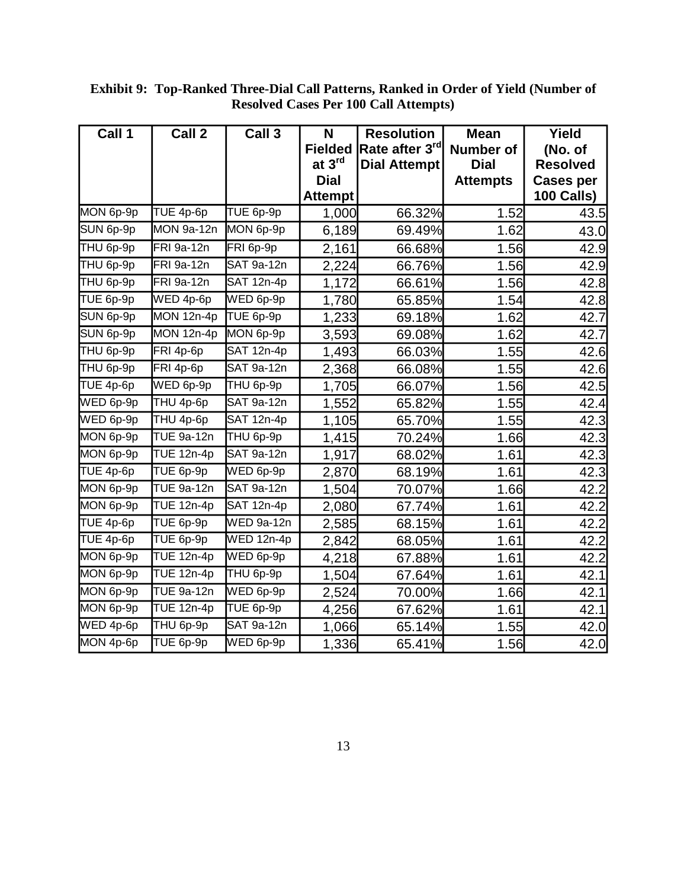| Call 1                          | Call 2                           | Call 3                  | N              | <b>Resolution</b>          | <b>Mean</b>      | Yield            |
|---------------------------------|----------------------------------|-------------------------|----------------|----------------------------|------------------|------------------|
|                                 |                                  |                         | <b>Fielded</b> | Rate after 3 <sup>rd</sup> | <b>Number of</b> | (No. of          |
|                                 |                                  |                         | at 3rd         | <b>Dial Attempt</b>        | <b>Dial</b>      | <b>Resolved</b>  |
|                                 |                                  |                         | <b>Dial</b>    |                            | <b>Attempts</b>  | <b>Cases per</b> |
|                                 |                                  |                         | <b>Attempt</b> |                            |                  | 100 Calls)       |
| MON 6p-9p                       | TUE 4p-6p                        | TUE 6p-9p               | 1,000          | 66.32%                     | 1.52             | 43.5             |
| SUN 6p-9p                       | MON 9a-12n                       | MON 6p-9p               | 6,189          | 69.49%                     | 1.62             | 43.0             |
| THU 6p-9p                       | FRI 9a-12n                       | FRI 6p-9p               | 2,161          | 66.68%                     | 1.56             | 42.9             |
| THU 6p-9p                       | FRI 9a-12n                       | SAT 9a-12n              | 2,224          | 66.76%                     | 1.56             | 42.9             |
| THU 6p-9p                       | FRI 9a-12n                       | SAT 12n-4p              | 1,172          | 66.61%                     | 1.56             | 42.8             |
| TUE 6p-9p                       | $\overline{\text{WED 4p-6p}}$    | WED 6p-9p               | 1,780          | 65.85%                     | 1.54             | 42.8             |
| SUN 6p-9p                       | MON 12n-4p                       | TUE 6p-9p               | 1,233          | 69.18%                     | 1.62             | 42.7             |
| SUN 6p-9p                       | MON 12n-4p                       | MON 6p-9p               | 3,593          | 69.08%                     | 1.62             | 42.7             |
| THU 6p-9p                       | FRI 4p-6p                        | SAT 12n-4p              | 1,493          | 66.03%                     | 1.55             | 42.6             |
| THU 6p-9p                       | FRI 4p-6p                        | SAT 9a-12n              | 2,368          | 66.08%                     | 1.55             | 42.6             |
| TUE 4p-6p                       | WED 6p-9p                        | THU 6p-9p               | 1,705          | 66.07%                     | 1.56             | 42.5             |
| WED 6p-9p                       | THU 4p-6p                        | <b>SAT 9a-12n</b>       | 1,552          | 65.82%                     | 1.55             | 42.4             |
| WED 6p-9p                       | THU 4p-6p                        | <b>SAT 12n-4p</b>       | 1,105          | 65.70%                     | 1.55             | 42.3             |
| MON 6p-9p                       | <b>TUE 9a-12n</b>                | THU 6p-9p               | 1,415          | 70.24%                     | 1.66             | 42.3             |
| MON 6p-9p                       | $\overline{\mathsf{TUE}}$ 12n-4p | <b>SAT 9a-12n</b>       | 1,917          | 68.02%                     | 1.61             | 42.3             |
| TUE 4p-6p                       | TUE 6p-9p                        | WED 6p-9p               | 2,870          | 68.19%                     | 1.61             | 42.3             |
| MON 6p-9p                       | <b>TUE 9a-12n</b>                | SAT 9a-12n              | 1,504          | 70.07%                     | 1.66             | 42.2             |
| MON 6p-9p                       | <b>TUE 12n-4p</b>                | SAT 12n-4p              | 2,080          | 67.74%                     | 1.61             | 42.2             |
| TUE 4p-6p                       | TUE 6p-9p                        | <b>WED 9a-12n</b>       | 2,585          | 68.15%                     | 1.61             | 42.2             |
| $\overline{\mathsf{TUE}}$ 4p-6p | TUE 6p-9p                        | <b>WED 12n-4p</b>       | 2,842          | 68.05%                     | 1.61             | 42.2             |
| MON 6p-9p                       | <b>TUE 12n-4p</b>                | WED 6p-9p               | 4,218          | 67.88%                     | 1.61             | 42.2             |
| MON 6p-9p                       | $\overline{\mathsf{TUE}}$ 12n-4p | THU 6p-9p               | 1,504          | 67.64%                     | 1.61             | 42.1             |
| MON 6p-9p                       | <b>TUE 9a-12n</b>                | WED 6p-9p               | 2,524          | 70.00%                     | 1.66             | 42.1             |
| MON 6p-9p                       | <b>TUE 12n-4p</b>                | TUE 6p-9p               | 4,256          | 67.62%                     | 1.61             | 42.1             |
| WED 4p-6p                       | THU 6p-9p                        | $\overline{SAT 9a-12n}$ | 1,066          | 65.14%                     | 1.55             | 42.0             |
| MON 4p-6p                       | TUE 6p-9p                        | WED 6p-9p               | 1,336          | 65.41%                     | 1.56             | 42.0             |

**Exhibit 9: Top-Ranked Three-Dial Call Patterns, Ranked in Order of Yield (Number of Resolved Cases Per 100 Call Attempts)**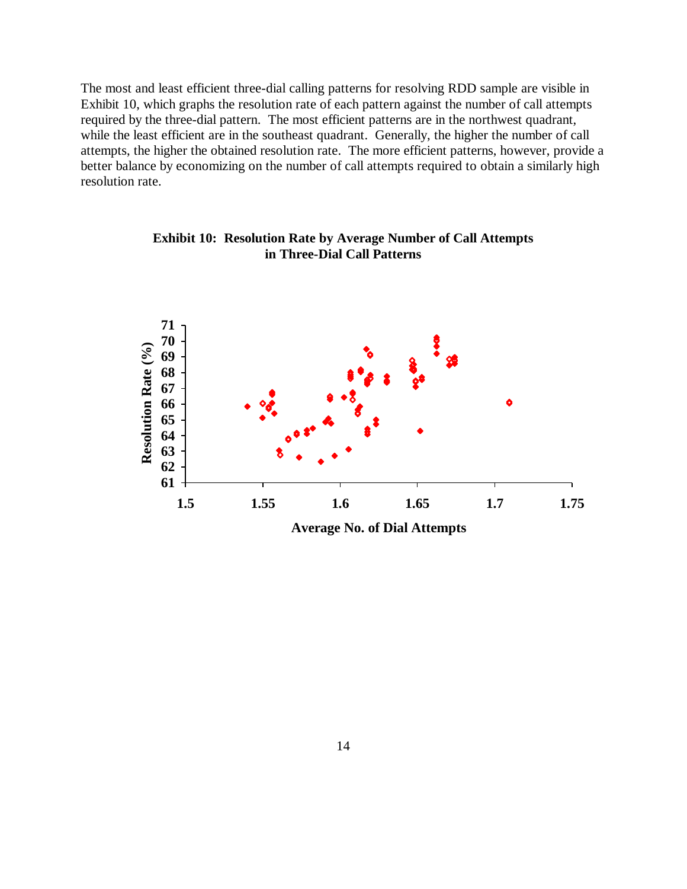The most and least efficient three-dial calling patterns for resolving RDD sample are visible in Exhibit 10, which graphs the resolution rate of each pattern against the number of call attempts required by the three-dial pattern. The most efficient patterns are in the northwest quadrant, while the least efficient are in the southeast quadrant. Generally, the higher the number of call attempts, the higher the obtained resolution rate. The more efficient patterns, however, provide a better balance by economizing on the number of call attempts required to obtain a similarly high resolution rate.



**Exhibit 10: Resolution Rate by Average Number of Call Attempts in Three-Dial Call Patterns**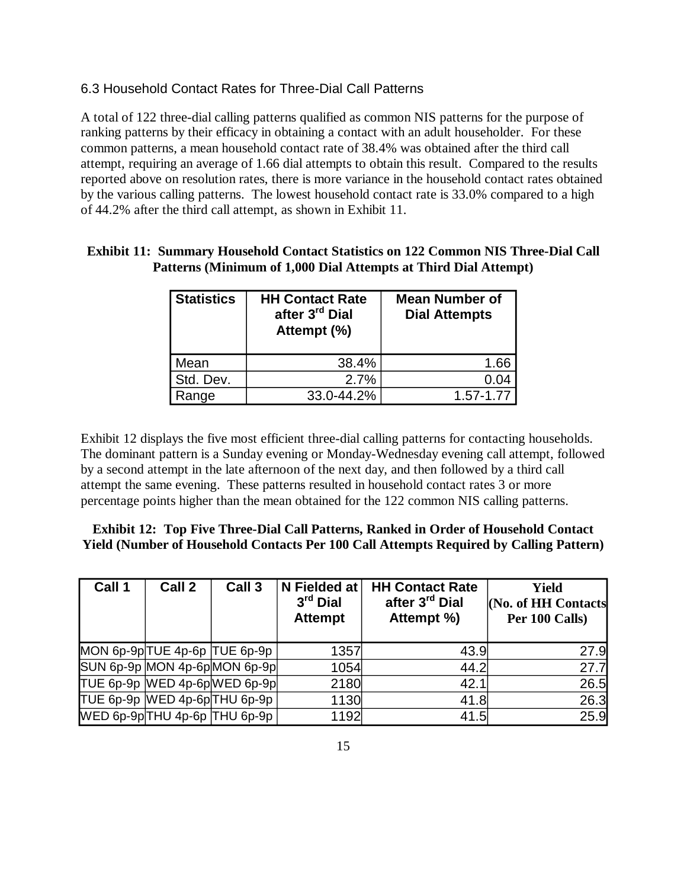## 6.3 Household Contact Rates for Three-Dial Call Patterns

A total of 122 three-dial calling patterns qualified as common NIS patterns for the purpose of ranking patterns by their efficacy in obtaining a contact with an adult householder. For these common patterns, a mean household contact rate of 38.4% was obtained after the third call attempt, requiring an average of 1.66 dial attempts to obtain this result. Compared to the results reported above on resolution rates, there is more variance in the household contact rates obtained by the various calling patterns. The lowest household contact rate is 33.0% compared to a high of 44.2% after the third call attempt, as shown in Exhibit 11.

# **Patterns (Minimum of 1,000 Dial Attempts at Third Dial Attempt)**

**Exhibit 11: Summary Household Contact Statistics on 122 Common NIS Three-Dial Call** 

| <b>Statistics</b> | <b>HH Contact Rate</b><br>after 3 <sup>rd</sup> Dial<br>Attempt (%) | <b>Mean Number of</b><br><b>Dial Attempts</b> |
|-------------------|---------------------------------------------------------------------|-----------------------------------------------|
| Mean              | 38.4%                                                               | 1.66                                          |
| Std. Dev.         | 2.7%                                                                | 0.04                                          |
| Range             | 33.0-44.2%                                                          | 1.57-1.77                                     |

Exhibit 12 displays the five most efficient three-dial calling patterns for contacting households. The dominant pattern is a Sunday evening or Monday-Wednesday evening call attempt, followed by a second attempt in the late afternoon of the next day, and then followed by a third call attempt the same evening. These patterns resulted in household contact rates 3 or more percentage points higher than the mean obtained for the 122 common NIS calling patterns.

#### **Exhibit 12: Top Five Three-Dial Call Patterns, Ranked in Order of Household Contact Yield (Number of Household Contacts Per 100 Call Attempts Required by Calling Pattern)**

| Call 1 | Call 2 | Call 3                        | N Fielded at<br>$3rd$ Dial<br><b>Attempt</b> | <b>HH Contact Rate</b><br>after 3 <sup>rd</sup> Dial<br>Attempt %) | Yield<br><b>No. of HH Contacts</b><br>Per 100 Calls) |
|--------|--------|-------------------------------|----------------------------------------------|--------------------------------------------------------------------|------------------------------------------------------|
|        |        | MON 6p-9pTUE 4p-6p TUE 6p-9p  | 1357                                         | 43.9                                                               | 27.9                                                 |
|        |        | SUN 6p-9p MON 4p-6p MON 6p-9p | 1054                                         | 44.2                                                               | 27.7                                                 |
|        |        | TUE 6p-9p WED 4p-6pWED 6p-9p  | 2180                                         | 42.1                                                               | 26.5                                                 |
|        |        | TUE 6p-9p WED 4p-6pTHU 6p-9p  | 1130                                         | 41.8                                                               | 26.3                                                 |
|        |        | WED 6p-9p THU 4p-6p THU 6p-9p | 1192                                         | 41.5                                                               | 25.9                                                 |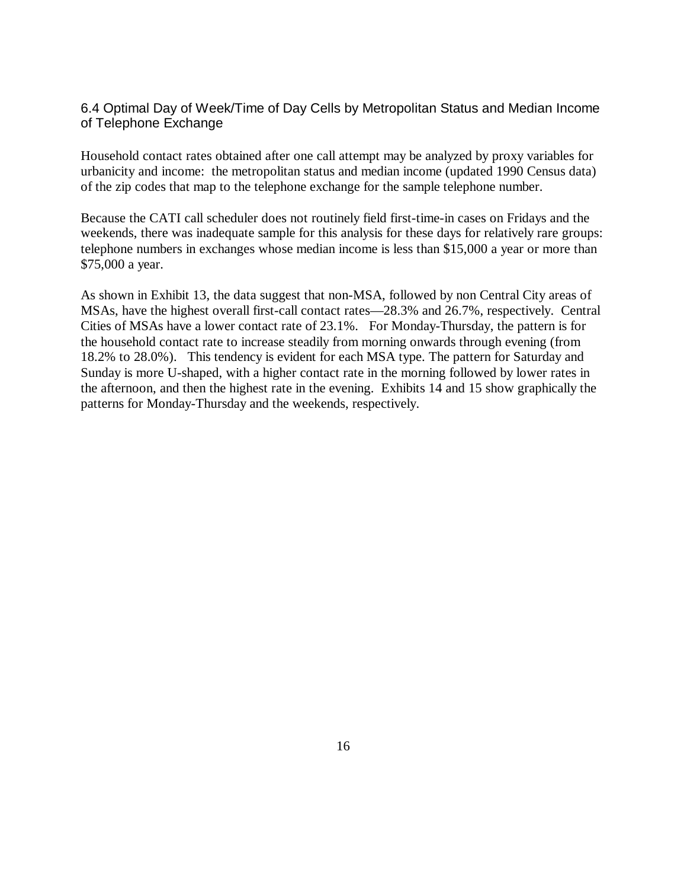# 6.4 Optimal Day of Week/Time of Day Cells by Metropolitan Status and Median Income of Telephone Exchange

Household contact rates obtained after one call attempt may be analyzed by proxy variables for urbanicity and income: the metropolitan status and median income (updated 1990 Census data) of the zip codes that map to the telephone exchange for the sample telephone number.

Because the CATI call scheduler does not routinely field first-time-in cases on Fridays and the weekends, there was inadequate sample for this analysis for these days for relatively rare groups: telephone numbers in exchanges whose median income is less than \$15,000 a year or more than \$75,000 a year.

As shown in Exhibit 13, the data suggest that non-MSA, followed by non Central City areas of MSAs, have the highest overall first-call contact rates— 28.3% and 26.7%, respectively. Central Cities of MSAs have a lower contact rate of 23.1%. For Monday-Thursday, the pattern is for the household contact rate to increase steadily from morning onwards through evening (from 18.2% to 28.0%). This tendency is evident for each MSA type. The pattern for Saturday and Sunday is more U-shaped, with a higher contact rate in the morning followed by lower rates in the afternoon, and then the highest rate in the evening. Exhibits 14 and 15 show graphically the patterns for Monday-Thursday and the weekends, respectively.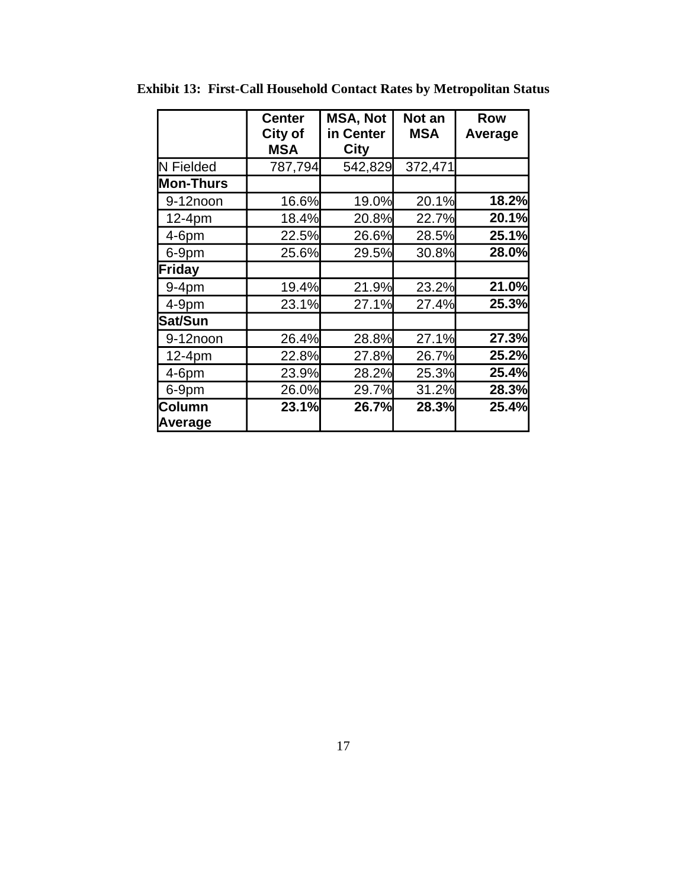|                          | <b>Center</b><br>City of<br><b>MSA</b> | <b>MSA, Not</b><br>in Center<br>City | Not an<br><b>MSA</b> | <b>Row</b><br>Average |
|--------------------------|----------------------------------------|--------------------------------------|----------------------|-----------------------|
| N Fielded                | 787,794                                | 542,829                              | 372,471              |                       |
| <b>Mon-Thurs</b>         |                                        |                                      |                      |                       |
| 9-12noon                 | 16.6%                                  | 19.0%                                | 20.1%                | 18.2%                 |
| $12-4pm$                 | 18.4%                                  | 20.8%                                | 22.7%                | 20.1%                 |
| $4-6$ pm                 | 22.5%                                  | 26.6%                                | 28.5%                | 25.1%                 |
| 6-9pm                    | 25.6%                                  | 29.5%                                | 30.8%                | 28.0%                 |
| Friday                   |                                        |                                      |                      |                       |
| $9-4pm$                  | 19.4%                                  | 21.9%                                | 23.2%                | 21.0%                 |
| $4-9pm$                  | 23.1%                                  | 27.1%                                | 27.4%                | 25.3%                 |
| Sat/Sun                  |                                        |                                      |                      |                       |
| 9-12noon                 | 26.4%                                  | 28.8%                                | 27.1%                | 27.3%                 |
| 12-4pm                   | 22.8%                                  | 27.8%                                | 26.7%                | 25.2%                 |
| $4-6$ pm                 | 23.9%                                  | 28.2%                                | 25.3%                | 25.4%                 |
| 6-9pm                    | 26.0%                                  | 29.7%                                | 31.2%                | 28.3%                 |
| <b>Column</b><br>Average | 23.1%                                  | 26.7%                                | <b>28.3%</b>         | 25.4%                 |

**Exhibit 13: First-Call Household Contact Rates by Metropolitan Status**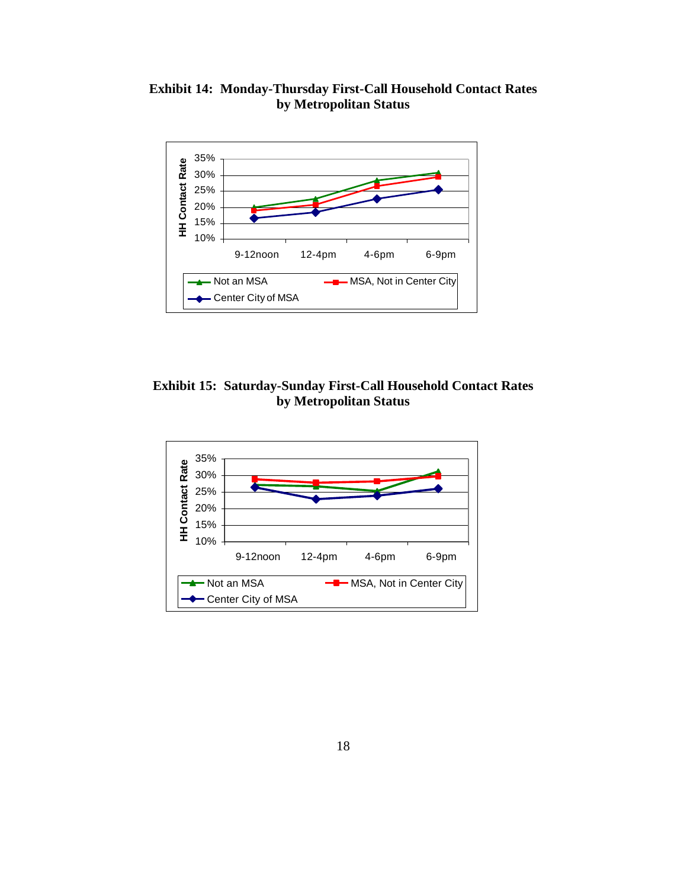**Exhibit 14: Monday-Thursday First-Call Household Contact Rates by Metropolitan Status** 



**Exhibit 15: Saturday-Sunday First-Call Household Contact Rates by Metropolitan Status** 

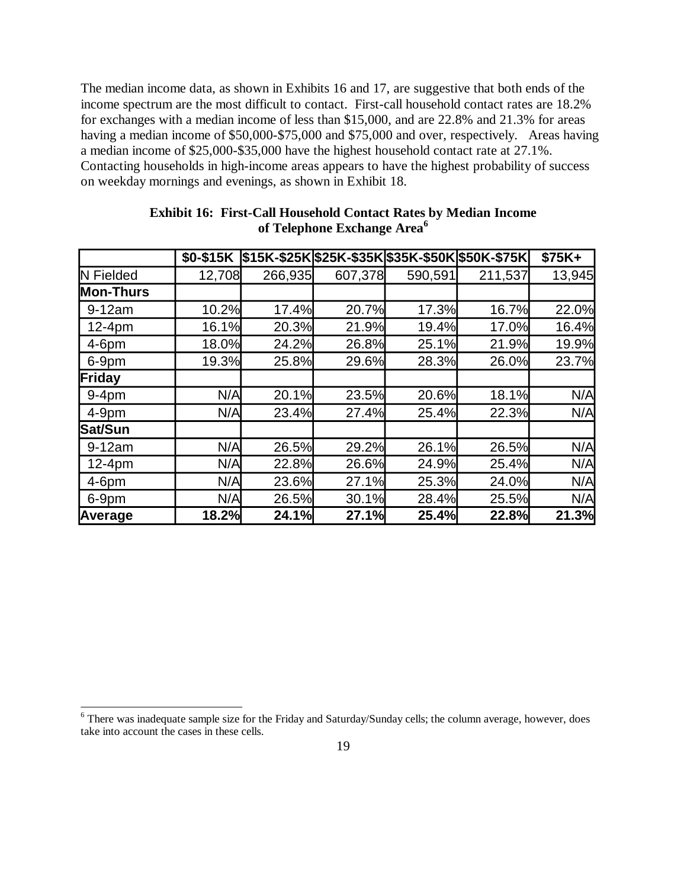The median income data, as shown in Exhibits 16 and 17, are suggestive that both ends of the income spectrum are the most difficult to contact. First-call household contact rates are 18.2% for exchanges with a median income of less than \$15,000, and are 22.8% and 21.3% for areas having a median income of \$50,000-\$75,000 and \$75,000 and over, respectively. Areas having a median income of \$25,000-\$35,000 have the highest household contact rate at 27.1%. Contacting households in high-income areas appears to have the highest probability of success on weekday mornings and evenings, as shown in Exhibit 18.

|                  | $$0-$15K$ |         |         |         | \$15K-\$25K \$25K-\$35K \$35K-\$50K \$50K-\$75K | \$75K+ |
|------------------|-----------|---------|---------|---------|-------------------------------------------------|--------|
| N Fielded        | 12,708    | 266,935 | 607,378 | 590,591 | 211,537                                         | 13,945 |
| <b>Mon-Thurs</b> |           |         |         |         |                                                 |        |
| $9-12am$         | 10.2%     | 17.4%   | 20.7%   | 17.3%   | 16.7%                                           | 22.0%  |
| $12-4pm$         | 16.1%     | 20.3%   | 21.9%   | 19.4%   | 17.0%                                           | 16.4%  |
| $4-6$ pm         | 18.0%     | 24.2%   | 26.8%   | 25.1%   | 21.9%                                           | 19.9%  |
| 6-9pm            | 19.3%     | 25.8%   | 29.6%   | 28.3%   | 26.0%                                           | 23.7%  |
| Friday           |           |         |         |         |                                                 |        |
| $9-4pm$          | N/A       | 20.1%   | 23.5%   | 20.6%   | 18.1%                                           | N/A    |
| $4-9$ pm         | N/A       | 23.4%   | 27.4%   | 25.4%   | 22.3%                                           | N/A    |
| <b>Sat/Sun</b>   |           |         |         |         |                                                 |        |
| $9-12am$         | N/A       | 26.5%   | 29.2%   | 26.1%   | 26.5%                                           | N/A    |
| $12-4pm$         | N/A       | 22.8%   | 26.6%   | 24.9%   | 25.4%                                           | N/A    |
| $4-6$ pm         | N/A       | 23.6%   | 27.1%   | 25.3%   | 24.0%                                           | N/A    |
| 6-9pm            | N/A       | 26.5%   | 30.1%   | 28.4%   | 25.5%                                           | N/A    |
| Average          | 18.2%     | 24.1%   | 27.1%   | 25.4%   | 22.8%                                           | 21.3%  |

#### **Exhibit 16: First-Call Household Contact Rates by Median Income of Telephone Exchange Area<sup>6</sup>**

<sup>6</sup> There was inadequate sample size for the Friday and Saturday/Sunday cells; the column average, however, does take into account the cases in these cells.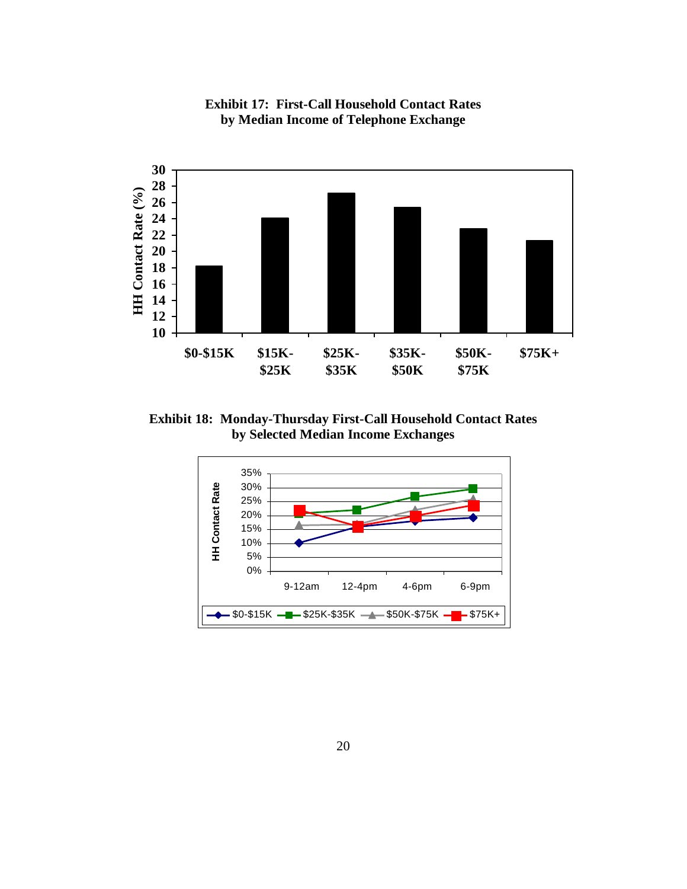

**Exhibit 17: First-Call Household Contact Rates by Median Income of Telephone Exchange** 

**Exhibit 18: Monday-Thursday First-Call Household Contact Rates by Selected Median Income Exchanges**

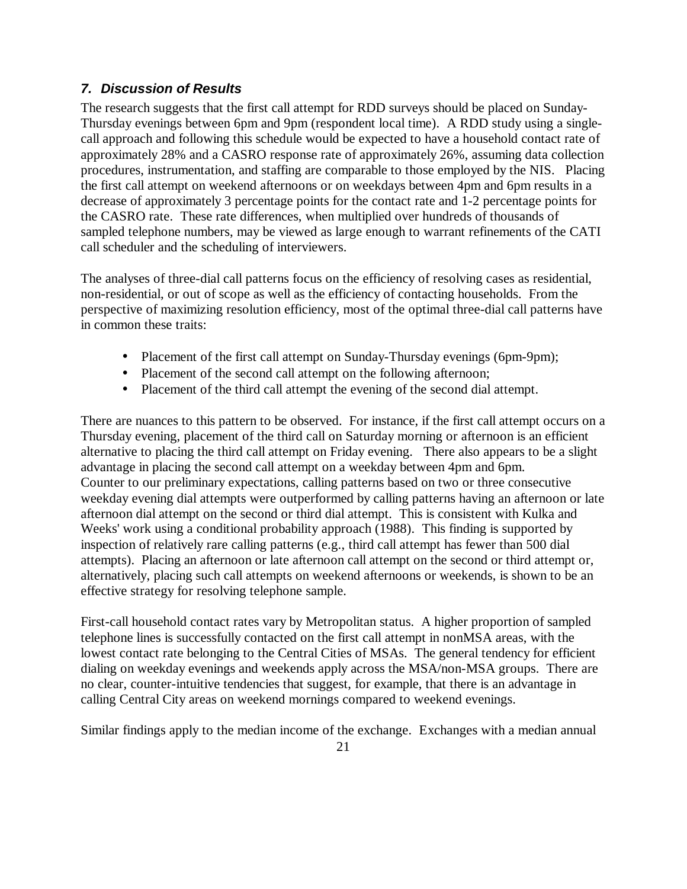# *7. Discussion of Results*

The research suggests that the first call attempt for RDD surveys should be placed on Sunday-Thursday evenings between 6pm and 9pm (respondent local time). A RDD study using a singlecall approach and following this schedule would be expected to have a household contact rate of approximately 28% and a CASRO response rate of approximately 26%, assuming data collection procedures, instrumentation, and staffing are comparable to those employed by the NIS. Placing the first call attempt on weekend afternoons or on weekdays between 4pm and 6pm results in a decrease of approximately 3 percentage points for the contact rate and 1-2 percentage points for the CASRO rate. These rate differences, when multiplied over hundreds of thousands of sampled telephone numbers, may be viewed as large enough to warrant refinements of the CATI call scheduler and the scheduling of interviewers.

The analyses of three-dial call patterns focus on the efficiency of resolving cases as residential, non-residential, or out of scope as well as the efficiency of contacting households. From the perspective of maximizing resolution efficiency, most of the optimal three-dial call patterns have in common these traits:

- Placement of the first call attempt on Sunday-Thursday evenings (6pm-9pm);
- Placement of the second call attempt on the following afternoon;
- Placement of the third call attempt the evening of the second dial attempt.

There are nuances to this pattern to be observed. For instance, if the first call attempt occurs on a Thursday evening, placement of the third call on Saturday morning or afternoon is an efficient alternative to placing the third call attempt on Friday evening. There also appears to be a slight advantage in placing the second call attempt on a weekday between 4pm and 6pm. Counter to our preliminary expectations, calling patterns based on two or three consecutive weekday evening dial attempts were outperformed by calling patterns having an afternoon or late afternoon dial attempt on the second or third dial attempt. This is consistent with Kulka and Weeks' work using a conditional probability approach (1988). This finding is supported by inspection of relatively rare calling patterns (e.g., third call attempt has fewer than 500 dial attempts). Placing an afternoon or late afternoon call attempt on the second or third attempt or, alternatively, placing such call attempts on weekend afternoons or weekends, is shown to be an effective strategy for resolving telephone sample.

First-call household contact rates vary by Metropolitan status. A higher proportion of sampled telephone lines is successfully contacted on the first call attempt in nonMSA areas, with the lowest contact rate belonging to the Central Cities of MSAs. The general tendency for efficient dialing on weekday evenings and weekends apply across the MSA/non-MSA groups. There are no clear, counter-intuitive tendencies that suggest, for example, that there is an advantage in calling Central City areas on weekend mornings compared to weekend evenings.

Similar findings apply to the median income of the exchange. Exchanges with a median annual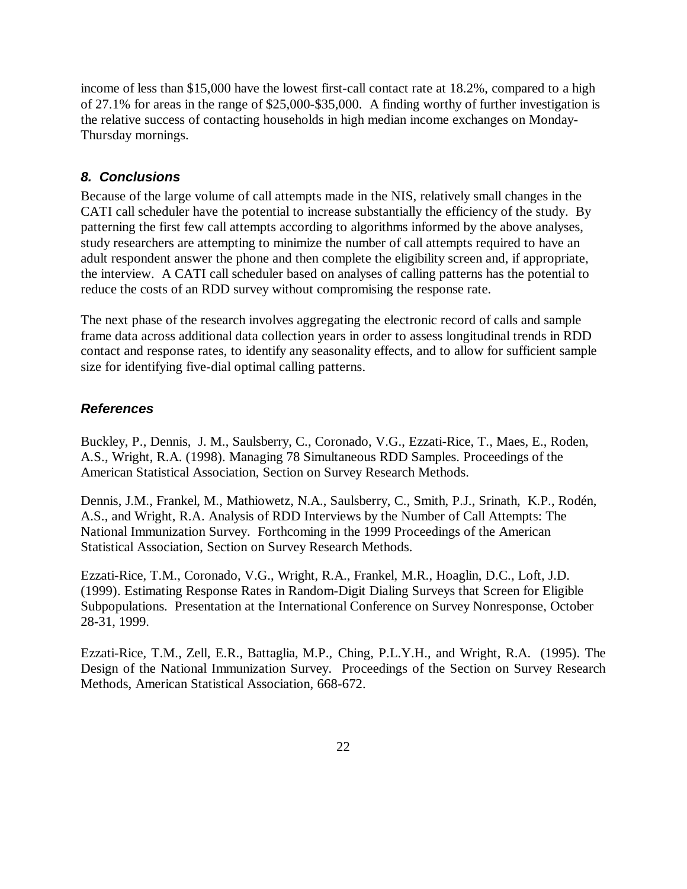income of less than \$15,000 have the lowest first-call contact rate at 18.2%, compared to a high of 27.1% for areas in the range of \$25,000-\$35,000. A finding worthy of further investigation is the relative success of contacting households in high median income exchanges on Monday-Thursday mornings.

# *8. Conclusions*

Because of the large volume of call attempts made in the NIS, relatively small changes in the CATI call scheduler have the potential to increase substantially the efficiency of the study. By patterning the first few call attempts according to algorithms informed by the above analyses, study researchers are attempting to minimize the number of call attempts required to have an adult respondent answer the phone and then complete the eligibility screen and, if appropriate, the interview. A CATI call scheduler based on analyses of calling patterns has the potential to reduce the costs of an RDD survey without compromising the response rate.

The next phase of the research involves aggregating the electronic record of calls and sample frame data across additional data collection years in order to assess longitudinal trends in RDD contact and response rates, to identify any seasonality effects, and to allow for sufficient sample size for identifying five-dial optimal calling patterns.

# *References*

Buckley, P., Dennis, J. M., Saulsberry, C., Coronado, V.G., Ezzati-Rice, T., Maes, E., Roden, A.S., Wright, R.A. (1998). Managing 78 Simultaneous RDD Samples. Proceedings of the American Statistical Association, Section on Survey Research Methods.

Dennis, J.M., Frankel, M., Mathiowetz, N.A., Saulsberry, C., Smith, P.J., Srinath, K.P., Rodén, A.S., and Wright, R.A. Analysis of RDD Interviews by the Number of Call Attempts: The National Immunization Survey. Forthcoming in the 1999 Proceedings of the American Statistical Association, Section on Survey Research Methods.

Ezzati-Rice, T.M., Coronado, V.G., Wright, R.A., Frankel, M.R., Hoaglin, D.C., Loft, J.D. (1999). Estimating Response Rates in Random-Digit Dialing Surveys that Screen for Eligible Subpopulations. Presentation at the International Conference on Survey Nonresponse, October 28-31, 1999.

Ezzati-Rice, T.M., Zell, E.R., Battaglia, M.P., Ching, P.L.Y.H., and Wright, R.A. (1995). The Design of the National Immunization Survey. Proceedings of the Section on Survey Research Methods, American Statistical Association, 668-672.